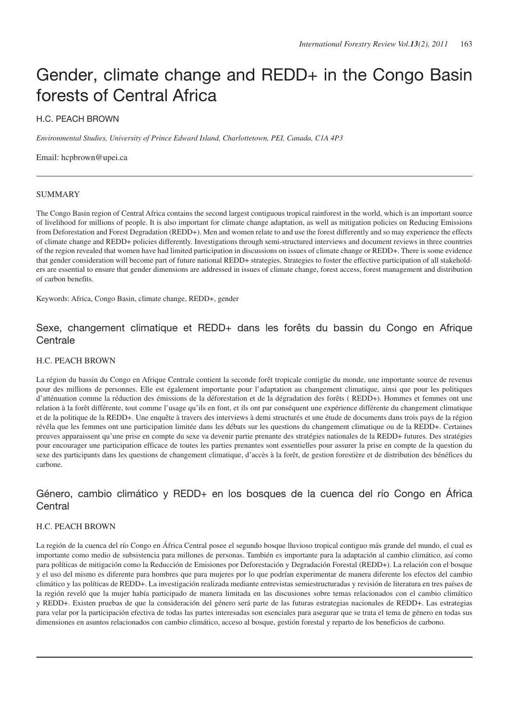# Gender, climate change and REDD+ in the Congo Basin forests of Central Africa

## H.C. PEACH BROWN

*Environmental Studies, University of Prince Edward Island, Charlottetown, PEI, Canada, C1A 4P3*

Email: hcpbrown@upei.ca

### SUMMARY

The Congo Basin region of Central Africa contains the second largest contiguous tropical rainforest in the world, which is an important source of livelihood for millions of people. It is also important for climate change adaptation, as well as mitigation policies on Reducing Emissions from Deforestation and Forest Degradation (REDD+). Men and women relate to and use the forest differently and so may experience the effects of climate change and REDD+ policies differently. Investigations through semi-structured interviews and document reviews in three countries of the region revealed that women have had limited participation in discussions on issues of climate change or REDD+. There is some evidence that gender consideration will become part of future national REDD+ strategies. Strategies to foster the effective participation of all stakeholders are essential to ensure that gender dimensions are addressed in issues of climate change, forest access, forest management and distribution of carbon benefits.

Keywords: Africa, Congo Basin, climate change, REDD+, gender

# Sexe, changement climatique et REDD+ dans les forêts du bassin du Congo en Afrique **Centrale**

## H.C. PEACH BROWN

La région du bassin du Congo en Afrique Centrale contient la seconde forêt tropicale contigüe du monde, une importante source de revenus pour des millions de personnes. Elle est également importante pour l'adaptation au changement climatique, ainsi que pour les politiques d'atténuation comme la réduction des émissions de la déforestation et de la dégradation des forêts ( REDD+). Hommes et femmes ont une relation à la forêt différente, tout comme l'usage qu'ils en font, et ils ont par conséquent une expérience différente du changement climatique et de la politique de la REDD+. Une enquête à travers des interviews à demi structurés et une étude de documents dans trois pays de la région révéla que les femmes ont une participation limitée dans les débats sur les questions du changement climatique ou de la REDD+. Certaines preuves apparaissent qu'une prise en compte du sexe va devenir partie prenante des stratégies nationales de la REDD+ futures. Des stratégies pour encourager une participation efficace de toutes les parties prenantes sont essentielles pour assurer la prise en compte de la question du sexe des participants dans les questions de changement climatique, d'accès à la forêt, de gestion forestière et de distribution des bénéfices du carbone.

# Género, cambio climático y REDD+ en los bosques de la cuenca del río Congo en África **Central**

## H.C. PEACH BROWN

La región de la cuenca del río Congo en África Central posee el segundo bosque lluvioso tropical contiguo más grande del mundo, el cual es importante como medio de subsistencia para millones de personas. También es importante para la adaptación al cambio climático, así como para políticas de mitigación como la Reducción de Emisiones por Deforestación y Degradación Forestal (REDD+). La relación con el bosque y el uso del mismo es diferente para hombres que para mujeres por lo que podrían experimentar de manera diferente los efectos del cambio climático y las políticas de REDD+. La investigación realizada mediante entrevistas semiestructuradas y revisión de literatura en tres países de la región reveló que la mujer había participado de manera limitada en las discusiones sobre temas relacionados con el cambio climático y REDD+. Existen pruebas de que la consideración del género será parte de las futuras estrategias nacionales de REDD+. Las estrategias para velar por la participación efectiva de todas las partes interesadas son esenciales para asegurar que se trata el tema de género en todas sus dimensiones en asuntos relacionados con cambio climático, acceso al bosque, gestión forestal y reparto de los beneficios de carbono.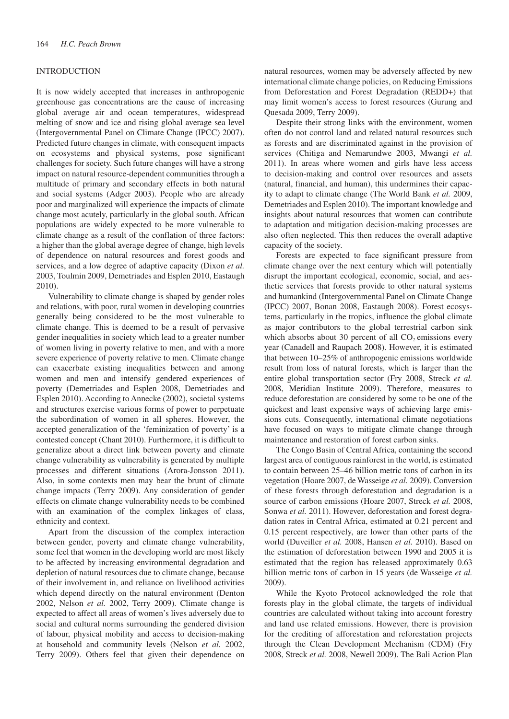#### INTRODUCTION

It is now widely accepted that increases in anthropogenic greenhouse gas concentrations are the cause of increasing global average air and ocean temperatures, widespread melting of snow and ice and rising global average sea level (Intergovernmental Panel on Climate Change (IPCC) 2007). Predicted future changes in climate, with consequent impacts on ecosystems and physical systems, pose significant challenges for society. Such future changes will have a strong impact on natural resource-dependent communities through a multitude of primary and secondary effects in both natural and social systems (Adger 2003). People who are already poor and marginalized will experience the impacts of climate change most acutely, particularly in the global south. African populations are widely expected to be more vulnerable to climate change as a result of the conflation of three factors: a higher than the global average degree of change, high levels of dependence on natural resources and forest goods and services, and a low degree of adaptive capacity (Dixon *et al.* 2003, Toulmin 2009, Demetriades and Esplen 2010, Eastaugh 2010).

Vulnerability to climate change is shaped by gender roles and relations, with poor, rural women in developing countries generally being considered to be the most vulnerable to climate change. This is deemed to be a result of pervasive gender inequalities in society which lead to a greater number of women living in poverty relative to men, and with a more severe experience of poverty relative to men. Climate change can exacerbate existing inequalities between and among women and men and intensify gendered experiences of poverty (Demetriades and Esplen 2008, Demetriades and Esplen 2010). According to Annecke (2002), societal systems and structures exercise various forms of power to perpetuate the subordination of women in all spheres. However, the accepted generalization of the 'feminization of poverty' is a contested concept (Chant 2010). Furthermore, it is difficult to generalize about a direct link between poverty and climate change vulnerability as vulnerability is generated by multiple processes and different situations (Arora-Jonsson 2011). Also, in some contexts men may bear the brunt of climate change impacts (Terry 2009). Any consideration of gender effects on climate change vulnerability needs to be combined with an examination of the complex linkages of class, ethnicity and context.

Apart from the discussion of the complex interaction between gender, poverty and climate change vulnerability, some feel that women in the developing world are most likely to be affected by increasing environmental degradation and depletion of natural resources due to climate change, because of their involvement in, and reliance on livelihood activities which depend directly on the natural environment (Denton 2002, Nelson *et al.* 2002, Terry 2009). Climate change is expected to affect all areas of women's lives adversely due to social and cultural norms surrounding the gendered division of labour, physical mobility and access to decision-making at household and community levels (Nelson *et al.* 2002, Terry 2009). Others feel that given their dependence on

natural resources, women may be adversely affected by new international climate change policies, on Reducing Emissions from Deforestation and Forest Degradation (REDD+) that may limit women's access to forest resources (Gurung and Quesada 2009, Terry 2009).

Despite their strong links with the environment, women often do not control land and related natural resources such as forests and are discriminated against in the provision of services (Chitiga and Nemarundwe 2003, Mwangi *et al.* 2011). In areas where women and girls have less access to decision-making and control over resources and assets (natural, financial, and human), this undermines their capacity to adapt to climate change (The World Bank *et al.* 2009, Demetriades and Esplen 2010). The important knowledge and insights about natural resources that women can contribute to adaptation and mitigation decision-making processes are also often neglected. This then reduces the overall adaptive capacity of the society.

Forests are expected to face significant pressure from climate change over the next century which will potentially disrupt the important ecological, economic, social, and aesthetic services that forests provide to other natural systems and humankind (Intergovernmental Panel on Climate Change (IPCC) 2007, Bonan 2008, Eastaugh 2008). Forest ecosystems, particularly in the tropics, influence the global climate as major contributors to the global terrestrial carbon sink which absorbs about 30 percent of all  $CO<sub>2</sub>$  emissions every year (Canadell and Raupach 2008). However, it is estimated that between 10–25% of anthropogenic emissions worldwide result from loss of natural forests, which is larger than the entire global transportation sector (Fry 2008, Streck *et al.* 2008, Meridian Institute 2009). Therefore, measures to reduce deforestation are considered by some to be one of the quickest and least expensive ways of achieving large emissions cuts. Consequently, international climate negotiations have focused on ways to mitigate climate change through maintenance and restoration of forest carbon sinks.

The Congo Basin of Central Africa, containing the second largest area of contiguous rainforest in the world, is estimated to contain between 25–46 billion metric tons of carbon in its vegetation (Hoare 2007, de Wasseige *et al.* 2009). Conversion of these forests through deforestation and degradation is a source of carbon emissions (Hoare 2007, Streck *et al.* 2008, Sonwa *et al.* 2011). However, deforestation and forest degradation rates in Central Africa, estimated at 0.21 percent and 0.15 percent respectively, are lower than other parts of the world (Duveiller *et al.* 2008, Hansen *et al.* 2010). Based on the estimation of deforestation between 1990 and 2005 it is estimated that the region has released approximately 0.63 billion metric tons of carbon in 15 years (de Wasseige *et al.* 2009).

While the Kyoto Protocol acknowledged the role that forests play in the global climate, the targets of individual countries are calculated without taking into account forestry and land use related emissions. However, there is provision for the crediting of afforestation and reforestation projects through the Clean Development Mechanism (CDM) (Fry 2008, Streck *et al.* 2008, Newell 2009). The Bali Action Plan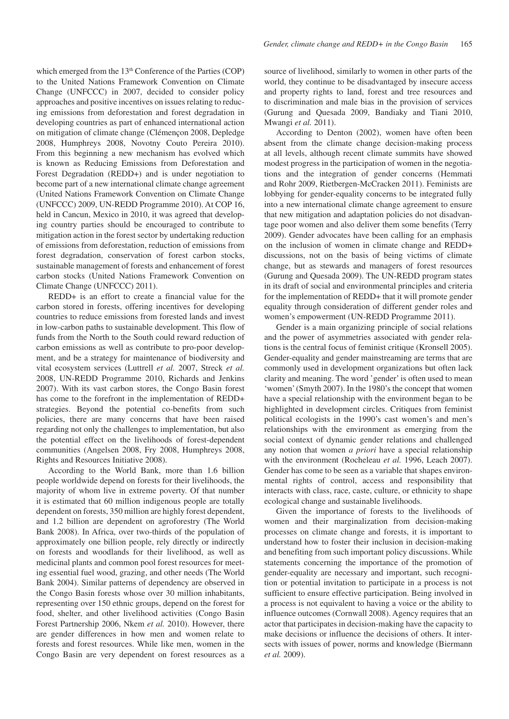which emerged from the  $13<sup>th</sup>$  Conference of the Parties (COP) to the United Nations Framework Convention on Climate Change (UNFCCC) in 2007, decided to consider policy approaches and positive incentives on issues relating to reducing emissions from deforestation and forest degradation in developing countries as part of enhanced international action on mitigation of climate change (Clémençon 2008, Depledge 2008, Humphreys 2008, Novotny Couto Pereira 2010). From this beginning a new mechanism has evolved which is known as Reducing Emissions from Deforestation and Forest Degradation (REDD+) and is under negotiation to become part of a new international climate change agreement (United Nations Framework Convention on Climate Change (UNFCCC) 2009, UN-REDD Programme 2010). At COP 16, held in Cancun, Mexico in 2010, it was agreed that developing country parties should be encouraged to contribute to mitigation action in the forest sector by undertaking reduction of emissions from deforestation, reduction of emissions from forest degradation, conservation of forest carbon stocks, sustainable management of forests and enhancement of forest carbon stocks (United Nations Framework Convention on Climate Change (UNFCCC) 2011).

REDD+ is an effort to create a financial value for the carbon stored in forests, offering incentives for developing countries to reduce emissions from forested lands and invest in low-carbon paths to sustainable development. This flow of funds from the North to the South could reward reduction of carbon emissions as well as contribute to pro-poor development, and be a strategy for maintenance of biodiversity and vital ecosystem services (Luttrell *et al.* 2007, Streck *et al.* 2008, UN-REDD Programme 2010, Richards and Jenkins 2007). With its vast carbon stores, the Congo Basin forest has come to the forefront in the implementation of REDD+ strategies. Beyond the potential co-benefits from such policies, there are many concerns that have been raised regarding not only the challenges to implementation, but also the potential effect on the livelihoods of forest-dependent communities (Angelsen 2008, Fry 2008, Humphreys 2008, Rights and Resources Initiative 2008).

According to the World Bank, more than 1.6 billion people worldwide depend on forests for their livelihoods, the majority of whom live in extreme poverty. Of that number it is estimated that 60 million indigenous people are totally dependent on forests, 350 million are highly forest dependent, and 1.2 billion are dependent on agroforestry (The World Bank 2008). In Africa, over two-thirds of the population of approximately one billion people, rely directly or indirectly on forests and woodlands for their livelihood, as well as medicinal plants and common pool forest resources for meeting essential fuel wood, grazing, and other needs (The World Bank 2004). Similar patterns of dependency are observed in the Congo Basin forests whose over 30 million inhabitants, representing over 150 ethnic groups, depend on the forest for food, shelter, and other livelihood activities (Congo Basin Forest Partnership 2006, Nkem *et al.* 2010). However, there are gender differences in how men and women relate to forests and forest resources. While like men, women in the Congo Basin are very dependent on forest resources as a

source of livelihood, similarly to women in other parts of the world, they continue to be disadvantaged by insecure access and property rights to land, forest and tree resources and to discrimination and male bias in the provision of services (Gurung and Quesada 2009, Bandiaky and Tiani 2010, Mwangi *et al.* 2011).

According to Denton (2002), women have often been absent from the climate change decision-making process at all levels, although recent climate summits have showed modest progress in the participation of women in the negotiations and the integration of gender concerns (Hemmati and Rohr 2009, Rietbergen-McCracken 2011). Feminists are lobbying for gender-equality concerns to be integrated fully into a new international climate change agreement to ensure that new mitigation and adaptation policies do not disadvantage poor women and also deliver them some benefits (Terry 2009). Gender advocates have been calling for an emphasis on the inclusion of women in climate change and REDD+ discussions, not on the basis of being victims of climate change, but as stewards and managers of forest resources (Gurung and Quesada 2009). The UN-REDD program states in its draft of social and environmental principles and criteria for the implementation of REDD+ that it will promote gender equality through consideration of different gender roles and women's empowerment (UN-REDD Programme 2011).

Gender is a main organizing principle of social relations and the power of asymmetries associated with gender relations is the central focus of feminist critique (Kronsell 2005). Gender-equality and gender mainstreaming are terms that are commonly used in development organizations but often lack clarity and meaning. The word 'gender' is often used to mean 'women' (Smyth 2007). In the 1980's the concept that women have a special relationship with the environment began to be highlighted in development circles. Critiques from feminist political ecologists in the 1990's cast women's and men's relationships with the environment as emerging from the social context of dynamic gender relations and challenged any notion that women *a priori* have a special relationship with the environment (Rocheleau *et al.* 1996, Leach 2007). Gender has come to be seen as a variable that shapes environmental rights of control, access and responsibility that interacts with class, race, caste, culture, or ethnicity to shape ecological change and sustainable livelihoods.

Given the importance of forests to the livelihoods of women and their marginalization from decision-making processes on climate change and forests, it is important to understand how to foster their inclusion in decision-making and benefiting from such important policy discussions. While statements concerning the importance of the promotion of gender-equality are necessary and important, such recognition or potential invitation to participate in a process is not sufficient to ensure effective participation. Being involved in a process is not equivalent to having a voice or the ability to influence outcomes (Cornwall 2008). Agency requires that an actor that participates in decision-making have the capacity to make decisions or influence the decisions of others. It intersects with issues of power, norms and knowledge (Biermann *et al.* 2009).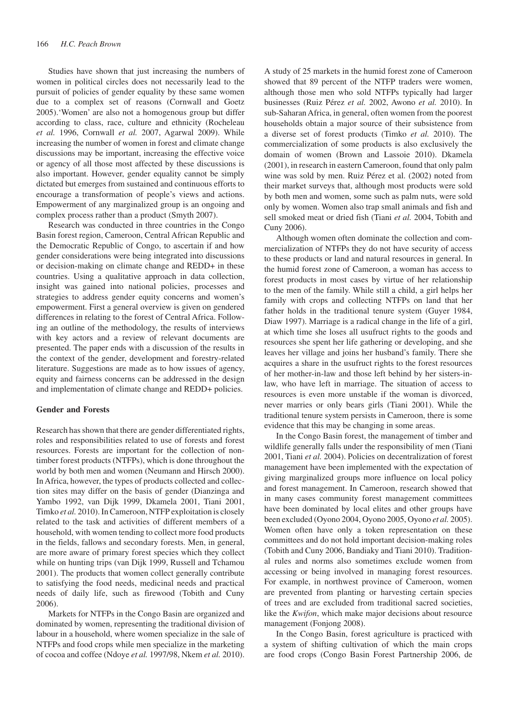Studies have shown that just increasing the numbers of women in political circles does not necessarily lead to the pursuit of policies of gender equality by these same women due to a complex set of reasons (Cornwall and Goetz 2005).'Women' are also not a homogenous group but differ according to class, race, culture and ethnicity (Rocheleau *et al.* 1996, Cornwall *et al.* 2007, Agarwal 2009). While increasing the number of women in forest and climate change discussions may be important, increasing the effective voice or agency of all those most affected by these discussions is also important. However, gender equality cannot be simply dictated but emerges from sustained and continuous efforts to encourage a transformation of people's views and actions. Empowerment of any marginalized group is an ongoing and complex process rather than a product (Smyth 2007).

Research was conducted in three countries in the Congo Basin forest region, Cameroon, Central African Republic and the Democratic Republic of Congo, to ascertain if and how gender considerations were being integrated into discussions or decision-making on climate change and REDD+ in these countries. Using a qualitative approach in data collection, insight was gained into national policies, processes and strategies to address gender equity concerns and women's empowerment. First a general overview is given on gendered differences in relating to the forest of Central Africa. Following an outline of the methodology, the results of interviews with key actors and a review of relevant documents are presented. The paper ends with a discussion of the results in the context of the gender, development and forestry-related literature. Suggestions are made as to how issues of agency, equity and fairness concerns can be addressed in the design and implementation of climate change and REDD+ policies.

#### **Gender and Forests**

Research has shown that there are gender differentiated rights, roles and responsibilities related to use of forests and forest resources. Forests are important for the collection of nontimber forest products (NTFPs), which is done throughout the world by both men and women (Neumann and Hirsch 2000). In Africa, however, the types of products collected and collection sites may differ on the basis of gender (Dianzinga and Yambo 1992, van Dijk 1999, Dkamela 2001, Tiani 2001, Timko et al. 2010). In Cameroon, NTFP exploitation is closely related to the task and activities of different members of a household, with women tending to collect more food products in the fields, fallows and secondary forests. Men, in general, are more aware of primary forest species which they collect while on hunting trips (van Dijk 1999, Russell and Tchamou 2001). The products that women collect generally contribute to satisfying the food needs, medicinal needs and practical needs of daily life, such as firewood (Tobith and Cuny 2006).

Markets for NTFPs in the Congo Basin are organized and dominated by women, representing the traditional division of labour in a household, where women specialize in the sale of NTFPs and food crops while men specialize in the marketing of cocoa and coffee (Ndoye *et al.* 1997/98, Nkem *et al.* 2010).

A study of 25 markets in the humid forest zone of Cameroon showed that 89 percent of the NTFP traders were women, although those men who sold NTFPs typically had larger businesses (Ruiz Pérez *et al.* 2002, Awono *et al.* 2010). In sub-Saharan Africa, in general, often women from the poorest households obtain a major source of their subsistence from a diverse set of forest products (Timko *et al.* 2010). The commercialization of some products is also exclusively the domain of women (Brown and Lassoie 2010). Dkamela (2001), in research in eastern Cameroon, found that only palm wine was sold by men. Ruiz Pérez et al. (2002) noted from their market surveys that, although most products were sold by both men and women, some such as palm nuts, were sold only by women. Women also trap small animals and fish and sell smoked meat or dried fish (Tiani *et al.* 2004, Tobith and Cuny 2006).

Although women often dominate the collection and commercialization of NTFPs they do not have security of access to these products or land and natural resources in general. In the humid forest zone of Cameroon, a woman has access to forest products in most cases by virtue of her relationship to the men of the family. While still a child, a girl helps her family with crops and collecting NTFPs on land that her father holds in the traditional tenure system (Guyer 1984, Diaw 1997). Marriage is a radical change in the life of a girl, at which time she loses all usufruct rights to the goods and resources she spent her life gathering or developing, and she leaves her village and joins her husband's family. There she acquires a share in the usufruct rights to the forest resources of her mother-in-law and those left behind by her sisters-inlaw, who have left in marriage. The situation of access to resources is even more unstable if the woman is divorced, never marries or only bears girls (Tiani 2001). While the traditional tenure system persists in Cameroon, there is some evidence that this may be changing in some areas.

In the Congo Basin forest, the management of timber and wildlife generally falls under the responsibility of men (Tiani 2001, Tiani *et al.* 2004). Policies on decentralization of forest management have been implemented with the expectation of giving marginalized groups more influence on local policy and forest management. In Cameroon, research showed that in many cases community forest management committees have been dominated by local elites and other groups have been excluded (Oyono 2004, Oyono 2005, Oyono *et al.* 2005). Women often have only a token representation on these committees and do not hold important decision-making roles (Tobith and Cuny 2006, Bandiaky and Tiani 2010). Traditional rules and norms also sometimes exclude women from accessing or being involved in managing forest resources. For example, in northwest province of Cameroon, women are prevented from planting or harvesting certain species of trees and are excluded from traditional sacred societies, like the *Kwifon*, which make major decisions about resource management (Fonjong 2008).

In the Congo Basin, forest agriculture is practiced with a system of shifting cultivation of which the main crops are food crops (Congo Basin Forest Partnership 2006, de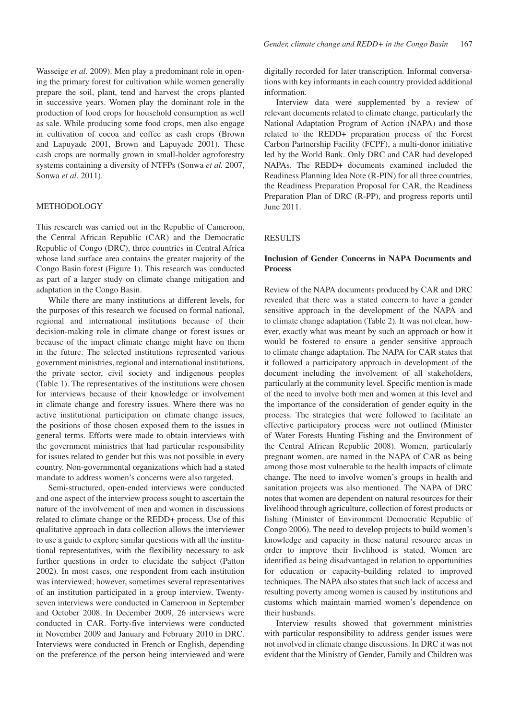Wasseige *et al.* 2009). Men play a predominant role in opening the primary forest for cultivation while women generally prepare the soil, plant, tend and harvest the crops planted in successive years. Women play the dominant role in the production of food crops for household consumption as well as sale. While producing some food crops, men also engage in cultivation of cocoa and coffee as cash crops (Brown and Lapuyade 2001, Brown and Lapuyade 2001). These cash crops are normally grown in small-holder agroforestry systems containing a diversity of NTFPs (Sonwa *et al.* 2007, Sonwa *et al.* 2011).

#### METHODOLOGY

This research was carried out in the Republic of Cameroon, the Central African Republic (CAR) and the Democratic Republic of Congo (DRC), three countries in Central Africa whose land surface area contains the greater majority of the Congo Basin forest (Figure 1). This research was conducted as part of a larger study on climate change mitigation and adaptation in the Congo Basin.

While there are many institutions at different levels, for the purposes of this research we focused on formal national, regional and international institutions because of their decision-making role in climate change or forest issues or because of the impact climate change might have on them in the future. The selected institutions represented various government ministries, regional and international institutions, the private sector, civil society and indigenous peoples (Table 1). The representatives of the institutions were chosen for interviews because of their knowledge or involvement in climate change and forestry issues. Where there was no active institutional participation on climate change issues, the positions of those chosen exposed them to the issues in general terms. Efforts were made to obtain interviews with the government ministries that had particular responsibility for issues related to gender but this was not possible in every country. Non-governmental organizations which had a stated mandate to address women's concerns were also targeted.

Semi-structured, open-ended interviews were conducted and one aspect of the interview process sought to ascertain the nature of the involvement of men and women in discussions related to climate change or the REDD+ process. Use of this qualitative approach in data collection allows the interviewer to use a guide to explore similar questions with all the institutional representatives, with the flexibility necessary to ask further questions in order to elucidate the subject (Patton 2002). In most cases, one respondent from each institution was interviewed; however, sometimes several representatives of an institution participated in a group interview. Twentyseven interviews were conducted in Cameroon in September and October 2008. In December 2009, 26 interviews were conducted in CAR. Forty-five interviews were conducted in November 2009 and January and February 2010 in DRC. Interviews were conducted in French or English, depending on the preference of the person being interviewed and were

digitally recorded for later transcription. Informal conversations with key informants in each country provided additional information.

Interview data were supplemented by a review of relevant documents related to climate change, particularly the National Adaptation Program of Action (NAPA) and those related to the REDD+ preparation process of the Forest Carbon Partnership Facility (FCPF), a multi-donor initiative led by the World Bank. Only DRC and CAR had developed NAPAs. The REDD+ documents examined included the Readiness Planning Idea Note (R-PIN) for all three countries, the Readiness Preparation Proposal for CAR, the Readiness Preparation Plan of DRC (R-PP), and progress reports until June 2011.

#### RESULTS

## **Inclusion of Gender Concerns in NAPA Documents and Process**

Review of the NAPA documents produced by CAR and DRC revealed that there was a stated concern to have a gender sensitive approach in the development of the NAPA and to climate change adaptation (Table 2). It was not clear, however, exactly what was meant by such an approach or how it would be fostered to ensure a gender sensitive approach to climate change adaptation. The NAPA for CAR states that it followed a participatory approach in development of the document including the involvement of all stakeholders, particularly at the community level. Specific mention is made of the need to involve both men and women at this level and the importance of the consideration of gender equity in the process. The strategies that were followed to facilitate an effective participatory process were not outlined (Minister of Water Forests Hunting Fishing and the Environment of the Central African Republic 2008). Women, particularly pregnant women, are named in the NAPA of CAR as being among those most vulnerable to the health impacts of climate change. The need to involve women's groups in health and sanitation projects was also mentioned. The NAPA of DRC notes that women are dependent on natural resources for their livelihood through agriculture, collection of forest products or fishing (Minister of Environment Democratic Republic of Congo 2006). The need to develop projects to build women's knowledge and capacity in these natural resource areas in order to improve their livelihood is stated. Women are identified as being disadvantaged in relation to opportunities for education or capacity-building related to improved techniques. The NAPA also states that such lack of access and resulting poverty among women is caused by institutions and customs which maintain married women's dependence on their husbands.

Interview results showed that government ministries with particular responsibility to address gender issues were not involved in climate change discussions. In DRC it was not evident that the Ministry of Gender, Family and Children was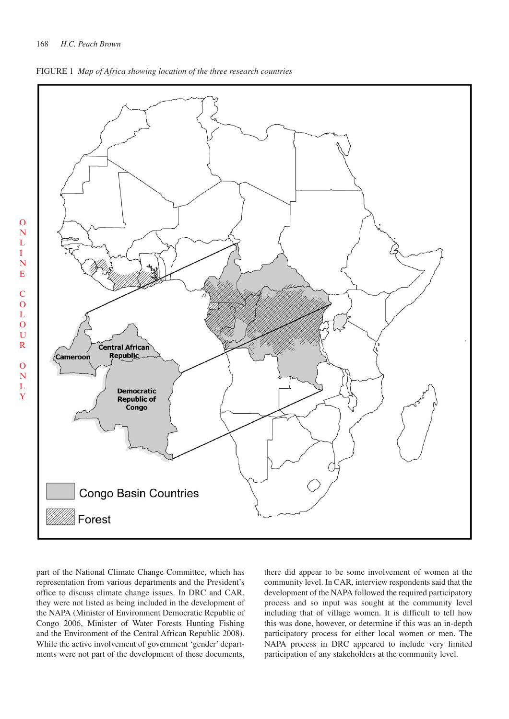



part of the National Climate Change Committee, which has representation from various departments and the President's office to discuss climate change issues. In DRC and CAR, they were not listed as being included in the development of the NAPA (Minister of Environment Democratic Republic of Congo 2006, Minister of Water Forests Hunting Fishing and the Environment of the Central African Republic 2008). While the active involvement of government 'gender' departments were not part of the development of these documents,

there did appear to be some involvement of women at the community level. In CAR, interview respondents said that the development of the NAPA followed the required participatory process and so input was sought at the community level including that of village women. It is difficult to tell how this was done, however, or determine if this was an in-depth participatory process for either local women or men. The NAPA process in DRC appeared to include very limited participation of any stakeholders at the community level.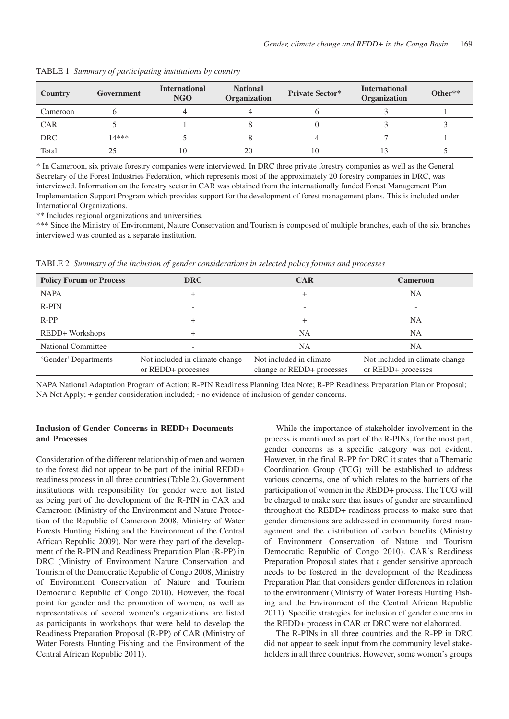| <b>Country</b> | Government | <b>International</b><br><b>NGO</b> | <b>National</b><br>Organization | <b>Private Sector*</b> | <b>International</b><br>Organization | Other** |
|----------------|------------|------------------------------------|---------------------------------|------------------------|--------------------------------------|---------|
| Cameroon       |            |                                    |                                 |                        |                                      |         |
| <b>CAR</b>     |            |                                    |                                 |                        |                                      |         |
| <b>DRC</b>     | $14***$    |                                    |                                 |                        |                                      |         |
| Total          |            | I U                                | 20                              |                        |                                      |         |

TABLE 1 *Summary of participating institutions by country*

\* In Cameroon, six private forestry companies were interviewed. In DRC three private forestry companies as well as the General Secretary of the Forest Industries Federation, which represents most of the approximately 20 forestry companies in DRC, was interviewed. Information on the forestry sector in CAR was obtained from the internationally funded Forest Management Plan Implementation Support Program which provides support for the development of forest management plans. This is included under International Organizations.

\*\* Includes regional organizations and universities.

\*\*\* Since the Ministry of Environment, Nature Conservation and Tourism is composed of multiple branches, each of the six branches interviewed was counted as a separate institution.

TABLE 2 *Summary of the inclusion of gender considerations in selected policy forums and processes*

| <b>Policy Forum or Process</b> | <b>DRC</b>                                           | <b>CAR</b>                                           | Cameroon                                             |
|--------------------------------|------------------------------------------------------|------------------------------------------------------|------------------------------------------------------|
| <b>NAPA</b>                    | $\pm$                                                |                                                      | NA                                                   |
| $R-PIN$                        |                                                      |                                                      |                                                      |
| $R-PP$                         |                                                      |                                                      | NA                                                   |
| <b>REDD+</b> Workshops         |                                                      | NA                                                   | NA                                                   |
| <b>National Committee</b>      |                                                      | NA                                                   | NA                                                   |
| 'Gender' Departments           | Not included in climate change<br>or REDD+ processes | Not included in climate<br>change or REDD+ processes | Not included in climate change<br>or REDD+ processes |

NAPA National Adaptation Program of Action; R-PIN Readiness Planning Idea Note; R-PP Readiness Preparation Plan or Proposal; NA Not Apply; + gender consideration included; - no evidence of inclusion of gender concerns.

#### **Inclusion of Gender Concerns in REDD+ Documents and Processes**

Consideration of the different relationship of men and women to the forest did not appear to be part of the initial REDD+ readiness process in all three countries (Table 2). Government institutions with responsibility for gender were not listed as being part of the development of the R-PIN in CAR and Cameroon (Ministry of the Environment and Nature Protection of the Republic of Cameroon 2008, Ministry of Water Forests Hunting Fishing and the Environment of the Central African Republic 2009). Nor were they part of the development of the R-PIN and Readiness Preparation Plan (R-PP) in DRC (Ministry of Environment Nature Conservation and Tourism of the Democratic Republic of Congo 2008, Ministry of Environment Conservation of Nature and Tourism Democratic Republic of Congo 2010). However, the focal point for gender and the promotion of women, as well as representatives of several women's organizations are listed as participants in workshops that were held to develop the Readiness Preparation Proposal (R-PP) of CAR (Ministry of Water Forests Hunting Fishing and the Environment of the Central African Republic 2011).

While the importance of stakeholder involvement in the process is mentioned as part of the R-PINs, for the most part, gender concerns as a specific category was not evident. However, in the final R-PP for DRC it states that a Thematic Coordination Group (TCG) will be established to address various concerns, one of which relates to the barriers of the participation of women in the REDD+ process. The TCG will be charged to make sure that issues of gender are streamlined throughout the REDD+ readiness process to make sure that gender dimensions are addressed in community forest management and the distribution of carbon benefits (Ministry of Environment Conservation of Nature and Tourism Democratic Republic of Congo 2010). CAR's Readiness Preparation Proposal states that a gender sensitive approach needs to be fostered in the development of the Readiness Preparation Plan that considers gender differences in relation to the environment (Ministry of Water Forests Hunting Fishing and the Environment of the Central African Republic 2011). Specific strategies for inclusion of gender concerns in the REDD+ process in CAR or DRC were not elaborated.

The R-PINs in all three countries and the R-PP in DRC did not appear to seek input from the community level stakeholders in all three countries. However, some women's groups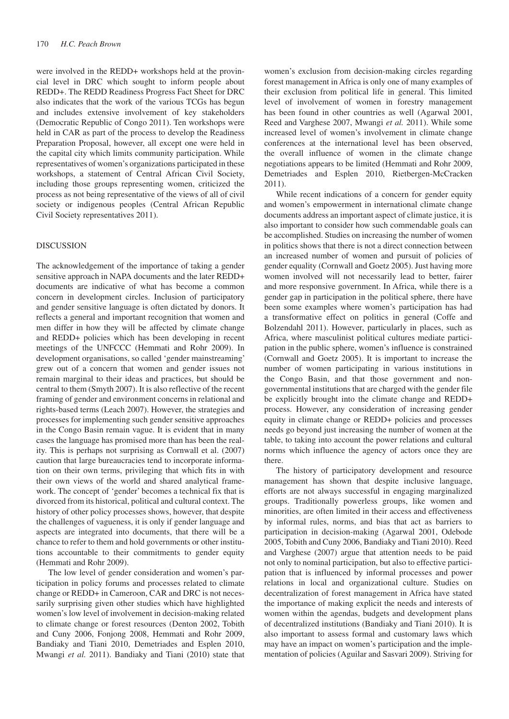were involved in the REDD+ workshops held at the provincial level in DRC which sought to inform people about REDD+. The REDD Readiness Progress Fact Sheet for DRC also indicates that the work of the various TCGs has begun and includes extensive involvement of key stakeholders (Democratic Republic of Congo 2011). Ten workshops were held in CAR as part of the process to develop the Readiness Preparation Proposal, however, all except one were held in the capital city which limits community participation. While representatives of women's organizations participated in these workshops, a statement of Central African Civil Society, including those groups representing women, criticized the process as not being representative of the views of all of civil society or indigenous peoples (Central African Republic Civil Society representatives 2011).

#### DISCUSSION

The acknowledgement of the importance of taking a gender sensitive approach in NAPA documents and the later REDD+ documents are indicative of what has become a common concern in development circles. Inclusion of participatory and gender sensitive language is often dictated by donors. It reflects a general and important recognition that women and men differ in how they will be affected by climate change and REDD+ policies which has been developing in recent meetings of the UNFCCC (Hemmati and Rohr 2009). In development organisations, so called 'gender mainstreaming' grew out of a concern that women and gender issues not remain marginal to their ideas and practices, but should be central to them (Smyth 2007). It is also reflective of the recent framing of gender and environment concerns in relational and rights-based terms (Leach 2007). However, the strategies and processes for implementing such gender sensitive approaches in the Congo Basin remain vague. It is evident that in many cases the language has promised more than has been the reality. This is perhaps not surprising as Cornwall et al. (2007) caution that large bureaucracies tend to incorporate information on their own terms, privileging that which fits in with their own views of the world and shared analytical framework. The concept of 'gender' becomes a technical fix that is divorced from its historical, political and cultural context. The history of other policy processes shows, however, that despite the challenges of vagueness, it is only if gender language and aspects are integrated into documents, that there will be a chance to refer to them and hold governments or other institutions accountable to their commitments to gender equity (Hemmati and Rohr 2009).

The low level of gender consideration and women's participation in policy forums and processes related to climate change or REDD+ in Cameroon, CAR and DRC is not necessarily surprising given other studies which have highlighted women's low level of involvement in decision-making related to climate change or forest resources (Denton 2002, Tobith and Cuny 2006, Fonjong 2008, Hemmati and Rohr 2009, Bandiaky and Tiani 2010, Demetriades and Esplen 2010, Mwangi *et al.* 2011). Bandiaky and Tiani (2010) state that

women's exclusion from decision-making circles regarding forest management in Africa is only one of many examples of their exclusion from political life in general. This limited level of involvement of women in forestry management has been found in other countries as well (Agarwal 2001, Reed and Varghese 2007, Mwangi *et al.* 2011). While some increased level of women's involvement in climate change conferences at the international level has been observed, the overall influence of women in the climate change negotiations appears to be limited (Hemmati and Rohr 2009, Demetriades and Esplen 2010, Rietbergen-McCracken 2011).

While recent indications of a concern for gender equity and women's empowerment in international climate change documents address an important aspect of climate justice, it is also important to consider how such commendable goals can be accomplished. Studies on increasing the number of women in politics shows that there is not a direct connection between an increased number of women and pursuit of policies of gender equality (Cornwall and Goetz 2005). Just having more women involved will not necessarily lead to better, fairer and more responsive government. In Africa, while there is a gender gap in participation in the political sphere, there have been some examples where women's participation has had a transformative effect on politics in general (Coffe and Bolzendahl 2011). However, particularly in places, such as Africa, where masculinist political cultures mediate participation in the public sphere, women's influence is constrained (Cornwall and Goetz 2005). It is important to increase the number of women participating in various institutions in the Congo Basin, and that those government and nongovernmental institutions that are charged with the gender file be explicitly brought into the climate change and REDD+ process. However, any consideration of increasing gender equity in climate change or REDD+ policies and processes needs go beyond just increasing the number of women at the table, to taking into account the power relations and cultural norms which influence the agency of actors once they are there.

The history of participatory development and resource management has shown that despite inclusive language, efforts are not always successful in engaging marginalized groups. Traditionally powerless groups, like women and minorities, are often limited in their access and effectiveness by informal rules, norms, and bias that act as barriers to participation in decision-making (Agarwal 2001, Odebode 2005, Tobith and Cuny 2006, Bandiaky and Tiani 2010). Reed and Varghese (2007) argue that attention needs to be paid not only to nominal participation, but also to effective participation that is influenced by informal processes and power relations in local and organizational culture. Studies on decentralization of forest management in Africa have stated the importance of making explicit the needs and interests of women within the agendas, budgets and development plans of decentralized institutions (Bandiaky and Tiani 2010). It is also important to assess formal and customary laws which may have an impact on women's participation and the implementation of policies (Aguilar and Sasvari 2009). Striving for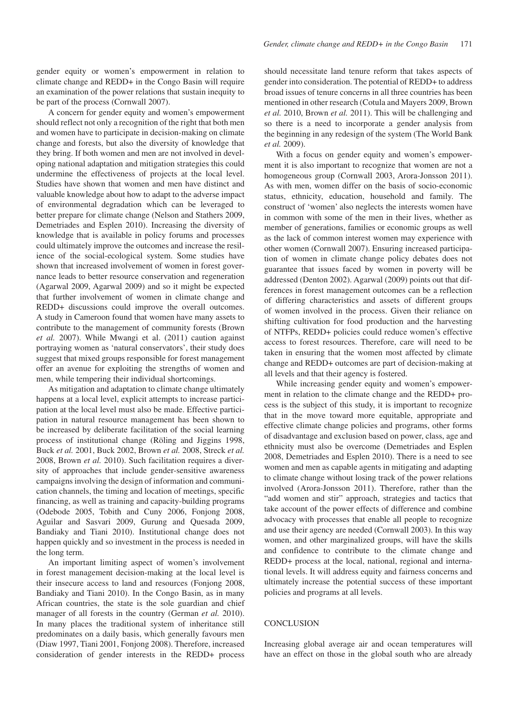gender equity or women's empowerment in relation to climate change and REDD+ in the Congo Basin will require an examination of the power relations that sustain inequity to be part of the process (Cornwall 2007).

A concern for gender equity and women's empowerment should reflect not only a recognition of the right that both men and women have to participate in decision-making on climate change and forests, but also the diversity of knowledge that they bring. If both women and men are not involved in developing national adaptation and mitigation strategies this could undermine the effectiveness of projects at the local level. Studies have shown that women and men have distinct and valuable knowledge about how to adapt to the adverse impact of environmental degradation which can be leveraged to better prepare for climate change (Nelson and Stathers 2009, Demetriades and Esplen 2010). Increasing the diversity of knowledge that is available in policy forums and processes could ultimately improve the outcomes and increase the resilience of the social-ecological system. Some studies have shown that increased involvement of women in forest governance leads to better resource conservation and regeneration (Agarwal 2009, Agarwal 2009) and so it might be expected that further involvement of women in climate change and REDD+ discussions could improve the overall outcomes. A study in Cameroon found that women have many assets to contribute to the management of community forests (Brown *et al.* 2007). While Mwangi et al. (2011) caution against portraying women as 'natural conservators', their study does suggest that mixed groups responsible for forest management offer an avenue for exploiting the strengths of women and men, while tempering their individual shortcomings.

As mitigation and adaptation to climate change ultimately happens at a local level, explicit attempts to increase participation at the local level must also be made. Effective participation in natural resource management has been shown to be increased by deliberate facilitation of the social learning process of institutional change (Röling and Jiggins 1998, Buck *et al.* 2001, Buck 2002, Brown *et al.* 2008, Streck *et al.* 2008, Brown *et al.* 2010). Such facilitation requires a diversity of approaches that include gender-sensitive awareness campaigns involving the design of information and communication channels, the timing and location of meetings, specific financing, as well as training and capacity-building programs (Odebode 2005, Tobith and Cuny 2006, Fonjong 2008, Aguilar and Sasvari 2009, Gurung and Quesada 2009, Bandiaky and Tiani 2010). Institutional change does not happen quickly and so investment in the process is needed in the long term.

An important limiting aspect of women's involvement in forest management decision-making at the local level is their insecure access to land and resources (Fonjong 2008, Bandiaky and Tiani 2010). In the Congo Basin, as in many African countries, the state is the sole guardian and chief manager of all forests in the country (German *et al.* 2010). In many places the traditional system of inheritance still predominates on a daily basis, which generally favours men (Diaw 1997, Tiani 2001, Fonjong 2008). Therefore, increased consideration of gender interests in the REDD+ process should necessitate land tenure reform that takes aspects of gender into consideration. The potential of REDD+ to address broad issues of tenure concerns in all three countries has been mentioned in other research (Cotula and Mayers 2009, Brown *et al.* 2010, Brown *et al.* 2011). This will be challenging and so there is a need to incorporate a gender analysis from the beginning in any redesign of the system (The World Bank *et al.* 2009).

With a focus on gender equity and women's empowerment it is also important to recognize that women are not a homogeneous group (Cornwall 2003, Arora-Jonsson 2011). As with men, women differ on the basis of socio-economic status, ethnicity, education, household and family. The construct of 'women' also neglects the interests women have in common with some of the men in their lives, whether as member of generations, families or economic groups as well as the lack of common interest women may experience with other women (Cornwall 2007). Ensuring increased participation of women in climate change policy debates does not guarantee that issues faced by women in poverty will be addressed (Denton 2002). Agarwal (2009) points out that differences in forest management outcomes can be a reflection of differing characteristics and assets of different groups of women involved in the process. Given their reliance on shifting cultivation for food production and the harvesting of NTFPs, REDD+ policies could reduce women's effective access to forest resources. Therefore, care will need to be taken in ensuring that the women most affected by climate change and REDD+ outcomes are part of decision-making at all levels and that their agency is fostered.

While increasing gender equity and women's empowerment in relation to the climate change and the REDD+ process is the subject of this study, it is important to recognize that in the move toward more equitable, appropriate and effective climate change policies and programs, other forms of disadvantage and exclusion based on power, class, age and ethnicity must also be overcome (Demetriades and Esplen 2008, Demetriades and Esplen 2010). There is a need to see women and men as capable agents in mitigating and adapting to climate change without losing track of the power relations involved (Arora-Jonsson 2011). Therefore, rather than the "add women and stir" approach, strategies and tactics that take account of the power effects of difference and combine advocacy with processes that enable all people to recognize and use their agency are needed (Cornwall 2003). In this way women, and other marginalized groups, will have the skills and confidence to contribute to the climate change and REDD+ process at the local, national, regional and international levels. It will address equity and fairness concerns and ultimately increase the potential success of these important policies and programs at all levels.

## **CONCLUSION**

Increasing global average air and ocean temperatures will have an effect on those in the global south who are already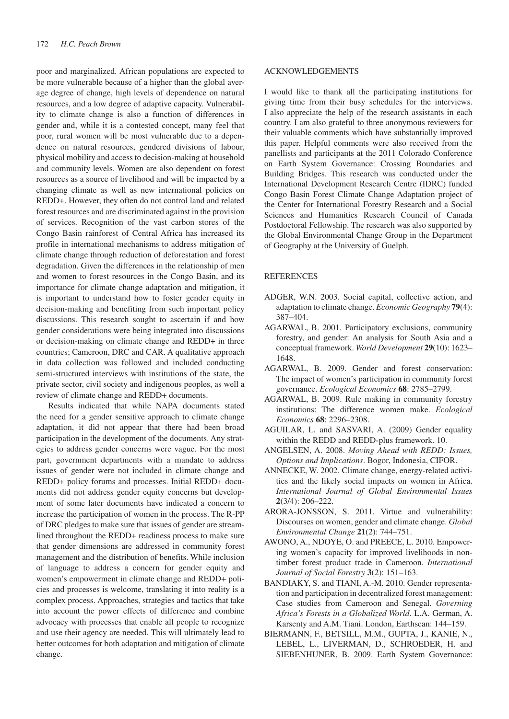poor and marginalized. African populations are expected to be more vulnerable because of a higher than the global average degree of change, high levels of dependence on natural resources, and a low degree of adaptive capacity. Vulnerability to climate change is also a function of differences in gender and, while it is a contested concept, many feel that poor, rural women will be most vulnerable due to a dependence on natural resources, gendered divisions of labour, physical mobility and access to decision-making at household and community levels. Women are also dependent on forest resources as a source of livelihood and will be impacted by a changing climate as well as new international policies on REDD+. However, they often do not control land and related forest resources and are discriminated against in the provision of services. Recognition of the vast carbon stores of the Congo Basin rainforest of Central Africa has increased its profile in international mechanisms to address mitigation of climate change through reduction of deforestation and forest degradation. Given the differences in the relationship of men and women to forest resources in the Congo Basin, and its importance for climate change adaptation and mitigation, it is important to understand how to foster gender equity in decision-making and benefiting from such important policy discussions. This research sought to ascertain if and how gender considerations were being integrated into discussions or decision-making on climate change and REDD+ in three countries; Cameroon, DRC and CAR. A qualitative approach in data collection was followed and included conducting semi-structured interviews with institutions of the state, the private sector, civil society and indigenous peoples, as well a review of climate change and REDD+ documents.

Results indicated that while NAPA documents stated the need for a gender sensitive approach to climate change adaptation, it did not appear that there had been broad participation in the development of the documents. Any strategies to address gender concerns were vague. For the most part, government departments with a mandate to address issues of gender were not included in climate change and REDD+ policy forums and processes. Initial REDD+ documents did not address gender equity concerns but development of some later documents have indicated a concern to increase the participation of women in the process. The R-PP of DRC pledges to make sure that issues of gender are streamlined throughout the REDD+ readiness process to make sure that gender dimensions are addressed in community forest management and the distribution of benefits. While inclusion of language to address a concern for gender equity and women's empowerment in climate change and REDD+ policies and processes is welcome, translating it into reality is a complex process. Approaches, strategies and tactics that take into account the power effects of difference and combine advocacy with processes that enable all people to recognize and use their agency are needed. This will ultimately lead to better outcomes for both adaptation and mitigation of climate change.

#### ACKNOWLEDGEMENTS

I would like to thank all the participating institutions for giving time from their busy schedules for the interviews. I also appreciate the help of the research assistants in each country. I am also grateful to three anonymous reviewers for their valuable comments which have substantially improved this paper. Helpful comments were also received from the panellists and participants at the 2011 Colorado Conference on Earth System Governance: Crossing Boundaries and Building Bridges. This research was conducted under the International Development Research Centre (IDRC) funded Congo Basin Forest Climate Change Adaptation project of the Center for International Forestry Research and a Social Sciences and Humanities Research Council of Canada Postdoctoral Fellowship. The research was also supported by the Global Environmental Change Group in the Department of Geography at the University of Guelph.

## **REFERENCES**

- ADGER, W.N. 2003. Social capital, collective action, and adaptation to climate change. *Economic Geography* **79**(4): 387–404.
- AGARWAL, B. 2001. Participatory exclusions, community forestry, and gender: An analysis for South Asia and a conceptual framework. *World Development* **29**(10): 1623– 1648.
- AGARWAL, B. 2009. Gender and forest conservation: The impact of women's participation in community forest governance. *Ecological Economics* **68**: 2785–2799.
- AGARWAL, B. 2009. Rule making in community forestry institutions: The difference women make. *Ecological Economics* **68**: 2296–2308.
- AGUILAR, L. and SASVARI, A. (2009) Gender equality within the REDD and REDD-plus framework. 10.
- ANGELSEN, A. 2008. *Moving Ahead with REDD: Issues, Options and Implications*. Bogor, Indonesia, CIFOR.
- ANNECKE, W. 2002. Climate change, energy-related activities and the likely social impacts on women in Africa. *International Journal of Global Environmental Issues* **2**(3/4): 206–222.
- ARORA-JONSSON, S. 2011. Virtue and vulnerability: Discourses on women, gender and climate change. *Global Environmental Change* **21**(2): 744–751.
- AWONO, A., NDOYE, O. and PREECE, L. 2010. Empowering women's capacity for improved livelihoods in nontimber forest product trade in Cameroon. *International Journal of Social Forestry* **3**(2): 151–163.
- BANDIAKY, S. and TIANI, A.-M. 2010. Gender representation and participation in decentralized forest management: Case studies from Cameroon and Senegal. *Governing Africa's Forests in a Globalized World*. L.A. German, A. Karsenty and A.M. Tiani. London, Earthscan: 144–159.
- BIERMANN, F., BETSILL, M.M., GUPTA, J., KANIE, N., LEBEL, L., LIVERMAN, D., SCHROEDER, H. and SIEBENHUNER, B. 2009. Earth System Governance: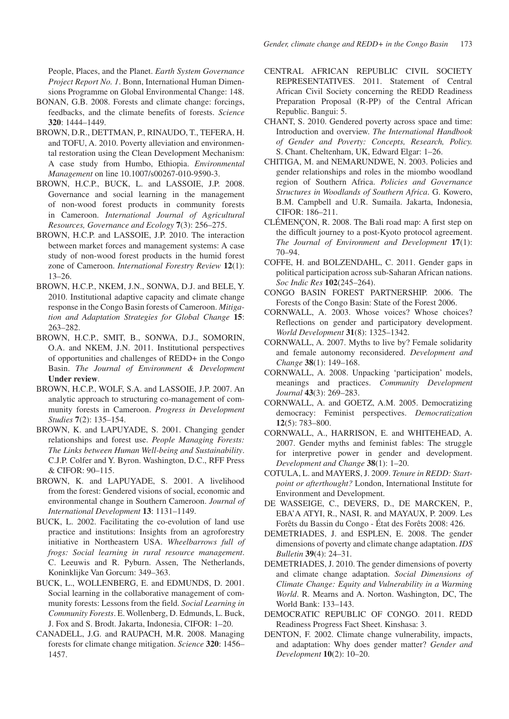People, Places, and the Planet. *Earth System Governance Project Report No. 1*. Bonn, International Human Dimensions Programme on Global Environmental Change: 148.

- BONAN, G.B. 2008. Forests and climate change: forcings, feedbacks, and the climate benefits of forests. *Science* **320**: 1444–1449.
- BROWN, D.R., DETTMAN, P., RINAUDO, T., TEFERA, H. and TOFU, A. 2010. Poverty alleviation and environmental restoration using the Clean Development Mechanism: A case study from Humbo, Ethiopia. *Environmental Management* on line 10.1007/s00267-010-9590-3.
- BROWN, H.C.P., BUCK, L. and LASSOIE, J.P. 2008. Governance and social learning in the management of non-wood forest products in community forests in Cameroon. *International Journal of Agricultural Resources, Governance and Ecology* **7**(3): 256–275.
- BROWN, H.C.P. and LASSOIE, J.P. 2010. The interaction between market forces and management systems: A case study of non-wood forest products in the humid forest zone of Cameroon. *International Forestry Review* **12**(1): 13–26.
- BROWN, H.C.P., NKEM, J.N., SONWA, D.J. and BELE, Y. 2010. Institutional adaptive capacity and climate change response in the Congo Basin forests of Cameroon. *Mitigation and Adaptation Strategies for Global Change* **15**: 263–282.
- BROWN, H.C.P., SMIT, B., SONWA, D.J., SOMORIN, O.A. and NKEM, J.N. 2011. Institutional perspectives of opportunities and challenges of REDD+ in the Congo Basin. *The Journal of Environment & Development* **Under review**.
- BROWN, H.C.P., WOLF, S.A. and LASSOIE, J.P. 2007. An analytic approach to structuring co-management of community forests in Cameroon. *Progress in Development Studies* **7**(2): 135–154.
- BROWN, K. and LAPUYADE, S. 2001. Changing gender relationships and forest use. *People Managing Forests: The Links between Human Well-being and Sustainability*. C.J.P. Colfer and Y. Byron. Washington, D.C., RFF Press & CIFOR: 90–115.
- BROWN, K. and LAPUYADE, S. 2001. A livelihood from the forest: Gendered visions of social, economic and environmental change in Southern Cameroon. *Journal of International Development* **13**: 1131–1149.
- BUCK, L. 2002. Facilitating the co-evolution of land use practice and institutions: Insights from an agroforestry initiative in Northeastern USA. *Wheelbarrows full of frogs: Social learning in rural resource management*. C. Leeuwis and R. Pyburn. Assen, The Netherlands, Koninklijke Van Gorcum: 349–363.
- BUCK, L., WOLLENBERG, E. and EDMUNDS, D. 2001. Social learning in the collaborative management of community forests: Lessons from the field. *Social Learning in Community Forests*. E. Wollenberg, D. Edmunds, L. Buck, J. Fox and S. Brodt. Jakarta, Indonesia, CIFOR: 1–20.
- CANADELL, J.G. and RAUPACH, M.R. 2008. Managing forests for climate change mitigation. *Science* **320**: 1456– 1457.
- CENTRAL AFRICAN REPUBLIC CIVIL SOCIETY REPRESENTATIVES. 2011. Statement of Central African Civil Society concerning the REDD Readiness Preparation Proposal (R-PP) of the Central African Republic. Bangui: 5.
- CHANT, S. 2010. Gendered poverty across space and time: Introduction and overview. *The International Handbook of Gender and Poverty: Concepts, Research, Policy.* S. Chant. Cheltenham, UK, Edward Elgar: 1–26.
- CHITIGA, M. and NEMARUNDWE, N. 2003. Policies and gender relationships and roles in the miombo woodland region of Southern Africa. *Policies and Governance Structures in Woodlands of Southern Africa*. G. Kowero, B.M. Campbell and U.R. Sumaila. Jakarta, Indonesia, CIFOR: 186–211.
- CLÉMENÇON, R. 2008. The Bali road map: A first step on the difficult journey to a post-Kyoto protocol agreement. *The Journal of Environment and Development* **17**(1): 70–94.
- COFFE, H. and BOLZENDAHL, C. 2011. Gender gaps in political participation across sub-Saharan African nations. *Soc Indic Res* **102**(245–264).
- CONGO BASIN FOREST PARTNERSHIP. 2006. The Forests of the Congo Basin: State of the Forest 2006.
- CORNWALL, A. 2003. Whose voices? Whose choices? Reflections on gender and participatory development. *World Development* **31**(8): 1325–1342.
- CORNWALL, A. 2007. Myths to live by? Female solidarity and female autonomy reconsidered. *Development and Change* **38**(1): 149–168.
- CORNWALL, A. 2008. Unpacking 'participation' models, meanings and practices. *Community Development Journal* **43**(3): 269–283.
- CORNWALL, A. and GOETZ, A.M. 2005. Democratizing democracy: Feminist perspectives. *Democratization* **12**(5): 783–800.
- CORNWALL, A., HARRISON, E. and WHITEHEAD, A. 2007. Gender myths and feminist fables: The struggle for interpretive power in gender and development. *Development and Change* **38**(1): 1–20.
- COTULA, L. and MAYERS, J. 2009. *Tenure in REDD: Startpoint or afterthought?* London, International Institute for Environment and Development.
- DE WASSEIGE, C., DEVERS, D., DE MARCKEN, P., EBA'A ATYI, R., NASI, R. and MAYAUX, P. 2009. Les Forêts du Bassin du Congo - État des Forêts 2008: 426.
- DEMETRIADES, J. and ESPLEN, E. 2008. The gender dimensions of poverty and climate change adaptation. *IDS Bulletin* **39**(4): 24–31.
- DEMETRIADES, J. 2010. The gender dimensions of poverty and climate change adaptation. *Social Dimensions of Climate Change: Equity and Vulnerability in a Warming World*. R. Mearns and A. Norton. Washington, DC, The World Bank: 133–143.
- DEMOCRATIC REPUBLIC OF CONGO. 2011. REDD Readiness Progress Fact Sheet. Kinshasa: 3.
- DENTON, F. 2002. Climate change vulnerability, impacts, and adaptation: Why does gender matter? *Gender and Development* **10**(2): 10–20.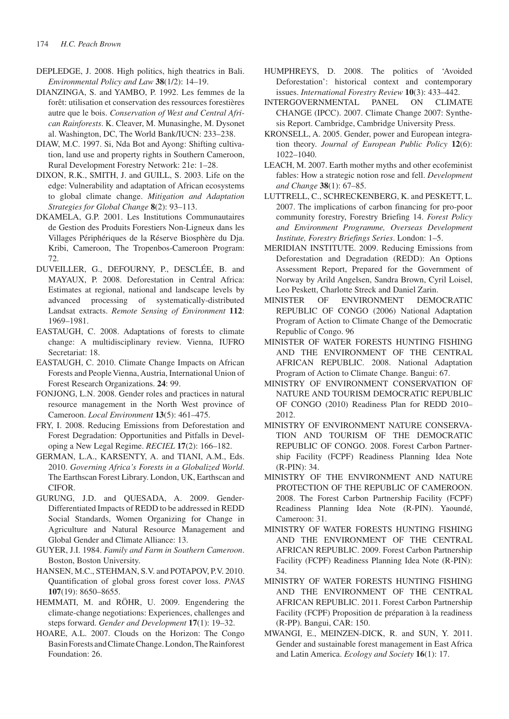- DEPLEDGE, J. 2008. High politics, high theatrics in Bali. *Environmental Policy and Law* **38**(1/2): 14–19.
- DIANZINGA, S. and YAMBO, P. 1992. Les femmes de la forêt: utilisation et conservation des ressources forestières autre que le bois. *Conservation of West and Central African Rainforests*. K. Cleaver, M. Munasinghe, M. Dysonet al. Washington, DC, The World Bank/IUCN: 233–238.
- DIAW, M.C. 1997. Si, Nda Bot and Ayong: Shifting cultivation, land use and property rights in Southern Cameroon, Rural Development Forestry Network: 21e: 1–28.
- DIXON, R.K., SMITH, J. and GUILL, S. 2003. Life on the edge: Vulnerability and adaptation of African ecosystems to global climate change. *Mitigation and Adaptation Strategies for Global Change* **8**(2): 93–113.
- DKAMELA, G.P. 2001. Les Institutions Communautaires de Gestion des Produits Forestiers Non-Ligneux dans les Villages Périphériques de la Réserve Biosphère du Dja. Kribi, Cameroon, The Tropenbos-Cameroon Program: 72.
- DUVEILLER, G., DEFOURNY, P., DESCLÉE, B. and MAYAUX, P. 2008. Deforestation in Central Africa: Estimates at regional, national and landscape levels by advanced processing of systematically-distributed Landsat extracts. *Remote Sensing of Environment* **112**: 1969–1981.
- EASTAUGH, C. 2008. Adaptations of forests to climate change: A multidisciplinary review. Vienna, IUFRO Secretariat: 18.
- EASTAUGH, C. 2010. Climate Change Impacts on African Forests and People Vienna, Austria, International Union of Forest Research Organizations. **24**: 99.
- FONJONG, L.N. 2008. Gender roles and practices in natural resource management in the North West province of Cameroon. *Local Environment* **13**(5): 461–475.
- FRY, I. 2008. Reducing Emissions from Deforestation and Forest Degradation: Opportunities and Pitfalls in Developing a New Legal Regime. *RECIEL* **17**(2): 166–182.
- GERMAN, L.A., KARSENTY, A. and TIANI, A.M., Eds. 2010. *Governing Africa's Forests in a Globalized World*. The Earthscan Forest Library. London, UK, Earthscan and CIFOR.
- GURUNG, J.D. and QUESADA, A. 2009. Gender-Differentiated Impacts of REDD to be addressed in REDD Social Standards, Women Organizing for Change in Agriculture and Natural Resource Management and Global Gender and Climate Alliance: 13.
- GUYER, J.I. 1984. *Family and Farm in Southern Cameroon*. Boston, Boston University.
- HANSEN, M.C., STEHMAN, S.V. and POTAPOV, P.V. 2010. Quantification of global gross forest cover loss. *PNAS* **107**(19): 8650–8655.
- HEMMATI, M. and RÖHR, U. 2009. Engendering the climate-change negotiations: Experiences, challenges and steps forward. *Gender and Development* **17**(1): 19–32.
- HOARE, A.L. 2007. Clouds on the Horizon: The Congo Basin Forests and Climate Change. London, The Rainforest Foundation: 26.
- HUMPHREYS, D. 2008. The politics of 'Avoided Deforestation': historical context and contemporary issues. *International Forestry Review* **10**(3): 433–442.
- INTERGOVERNMENTAL PANEL ON CLIMATE CHANGE (IPCC). 2007. Climate Change 2007: Synthesis Report. Cambridge, Cambridge University Press.
- KRONSELL, A. 2005. Gender, power and European integration theory. *Journal of European Public Policy* **12**(6): 1022–1040.
- LEACH, M. 2007. Earth mother myths and other ecofeminist fables: How a strategic notion rose and fell. *Development and Change* **38**(1): 67–85.
- LUTTRELL, C., SCHRECKENBERG, K. and PESKETT, L. 2007. The implications of carbon financing for pro-poor community forestry, Forestry Briefing 14. *Forest Policy and Environment Programme, Overseas Development Institute, Forestry Briefings Series*. London: 1–5.
- MERIDIAN INSTITUTE. 2009. Reducing Emissions from Deforestation and Degradation (REDD): An Options Assessment Report, Prepared for the Government of Norway by Arild Angelsen, Sandra Brown, Cyril Loisel, Leo Peskett, Charlotte Streck and Daniel Zarin.
- MINISTER OF ENVIRONMENT DEMOCRATIC REPUBLIC OF CONGO (2006) National Adaptation Program of Action to Climate Change of the Democratic Republic of Congo. 96
- MINISTER OF WATER FORESTS HUNTING FISHING AND THE ENVIRONMENT OF THE CENTRAL AFRICAN REPUBLIC. 2008. National Adaptation Program of Action to Climate Change. Bangui: 67.
- MINISTRY OF ENVIRONMENT CONSERVATION OF NATURE AND TOURISM DEMOCRATIC REPUBLIC OF CONGO (2010) Readiness Plan for REDD 2010– 2012.
- MINISTRY OF ENVIRONMENT NATURE CONSERVA-TION AND TOURISM OF THE DEMOCRATIC REPUBLIC OF CONGO. 2008. Forest Carbon Partnership Facility (FCPF) Readiness Planning Idea Note (R-PIN): 34.
- MINISTRY OF THE ENVIRONMENT AND NATURE PROTECTION OF THE REPUBLIC OF CAMEROON. 2008. The Forest Carbon Partnership Facility (FCPF) Readiness Planning Idea Note (R-PIN). Yaoundé, Cameroon: 31.
- MINISTRY OF WATER FORESTS HUNTING FISHING AND THE ENVIRONMENT OF THE CENTRAL AFRICAN REPUBLIC. 2009. Forest Carbon Partnership Facility (FCPF) Readiness Planning Idea Note (R-PIN): 34.
- MINISTRY OF WATER FORESTS HUNTING FISHING AND THE ENVIRONMENT OF THE CENTRAL AFRICAN REPUBLIC. 2011. Forest Carbon Partnership Facility (FCPF) Proposition de préparation à la readiness (R-PP). Bangui, CAR: 150.
- MWANGI, E., MEINZEN-DICK, R. and SUN, Y. 2011. Gender and sustainable forest management in East Africa and Latin America. *Ecology and Society* **16**(1): 17.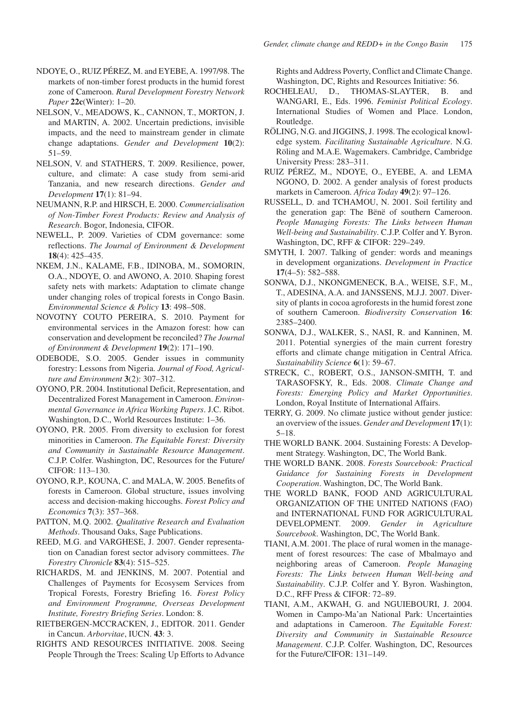- NDOYE, O., RUIZ PÉREZ, M. and EYEBE, A. 1997/98. The markets of non-timber forest products in the humid forest zone of Cameroon. *Rural Development Forestry Network Paper* **22c**(Winter): 1–20.
- NELSON, V., MEADOWS, K., CANNON, T., MORTON, J. and MARTIN, A. 2002. Uncertain predictions, invisible impacts, and the need to mainstream gender in climate change adaptations. *Gender and Development* **10**(2): 51–59.
- NELSON, V. and STATHERS, T. 2009. Resilience, power, culture, and climate: A case study from semi-arid Tanzania, and new research directions. *Gender and Development* **17**(1): 81–94.
- NEUMANN, R.P. and HIRSCH, E. 2000. *Commercialisation of Non-Timber Forest Products: Review and Analysis of Research*. Bogor, Indonesia, CIFOR.
- NEWELL, P. 2009. Varieties of CDM governance: some reflections. *The Journal of Environment & Development* **18**(4): 425–435.
- NKEM, J.N., KALAME, F.B., IDINOBA, M., SOMORIN, O.A., NDOYE, O. and AWONO, A. 2010. Shaping forest safety nets with markets: Adaptation to climate change under changing roles of tropical forests in Congo Basin. *Environmental Science & Policy* **13**: 498–508.
- NOVOTNY COUTO PEREIRA, S. 2010. Payment for environmental services in the Amazon forest: how can conservation and development be reconciled? *The Journal of Environment & Development* **19**(2): 171–190.
- ODEBODE, S.O. 2005. Gender issues in community forestry: Lessons from Nigeria. *Journal of Food, Agriculture and Environment* **3**(2): 307–312.
- OYONO, P.R. 2004. Institutional Deficit, Representation, and Decentralized Forest Management in Cameroon. *Environmental Governance in Africa Working Papers*. J.C. Ribot. Washington, D.C., World Resources Institute: 1–36.
- OYONO, P.R. 2005. From diversity to exclusion for forest minorities in Cameroon. *The Equitable Forest: Diversity and Community in Sustainable Resource Management*. C.J.P. Colfer. Washington, DC, Resources for the Future/ CIFOR: 113–130.
- OYONO, R.P., KOUNA, C. and MALA, W. 2005. Benefits of forests in Cameroon. Global structure, issues involving access and decision-making hiccoughs. *Forest Policy and Economics* **7**(3): 357–368.
- PATTON, M.Q. 2002. *Qualitative Research and Evaluation Methods*. Thousand Oaks, Sage Publications.
- REED, M.G. and VARGHESE, J. 2007. Gender representation on Canadian forest sector advisory committees. *The Forestry Chronicle* **83**(4): 515–525.
- RICHARDS, M. and JENKINS, M. 2007. Potential and Challenges of Payments for Ecosysem Services from Tropical Forests, Forestry Briefing 16. *Forest Policy and Environment Programme, Overseas Development Institute, Forestry Briefing Series*. London: 8.
- RIETBERGEN-MCCRACKEN, J., EDITOR. 2011. Gender in Cancun. *Arborvitae*, IUCN. **43**: 3.
- RIGHTS AND RESOURCES INITIATIVE. 2008. Seeing People Through the Trees: Scaling Up Efforts to Advance

Rights and Address Poverty, Conflict and Climate Change. Washington, DC, Rights and Resources Initiative: 56.

- ROCHELEAU, D., THOMAS-SLAYTER, B. and WANGARI, E., Eds. 1996. *Feminist Political Ecology*. International Studies of Women and Place. London, Routledge.
- RÖLING, N.G. and JIGGINS, J. 1998. The ecological knowledge system. *Facilitating Sustainable Agriculture*. N.G. Röling and M.A.E. Wagemakers. Cambridge, Cambridge University Press: 283–311.
- RUIZ PÉREZ, M., NDOYE, O., EYEBE, A. and LEMA NGONO, D. 2002. A gender analysis of forest products markets in Cameroon. *Africa Today* **49**(2): 97–126.
- RUSSELL, D. and TCHAMOU, N. 2001. Soil fertility and the generation gap: The Bënë of southern Cameroon. *People Managing Forests: The Links between Human Well-being and Sustainability*. C.J.P. Colfer and Y. Byron. Washington, DC, RFF & CIFOR: 229–249.
- SMYTH, I. 2007. Talking of gender: words and meanings in development organizations. *Development in Practice* **17**(4–5): 582–588.
- SONWA, D.J., NKONGMENECK, B.A., WEISE, S.F., M., T., ADESINA, A.A. and JANSSENS, M.J.J. 2007. Diversity of plants in cocoa agroforests in the humid forest zone of southern Cameroon. *Biodiversity Conservation* **16**: 2385–2400.
- SONWA, D.J., WALKER, S., NASI, R. and Kanninen, M. 2011. Potential synergies of the main current forestry efforts and climate change mitigation in Central Africa. *Sustainability Science* **6**(1): 59–67.
- STRECK, C., ROBERT, O.S., JANSON-SMITH, T. and TARASOFSKY, R., Eds. 2008. *Climate Change and Forests: Emerging Policy and Market Opportunities*. London, Royal Institute of International Affairs.
- TERRY, G. 2009. No climate justice without gender justice: an overview of the issues. *Gender and Development* **17**(1): 5–18.
- THE WORLD BANK. 2004. Sustaining Forests: A Development Strategy. Washington, DC, The World Bank.
- THE WORLD BANK. 2008. *Forests Sourcebook: Practical Guidance for Sustaining Forests in Development Cooperation*. Washington, DC, The World Bank.
- THE WORLD BANK, FOOD AND AGRICULTURAL ORGANIZATION OF THE UNITED NATIONS (FAO) and INTERNATIONAL FUND FOR AGRICULTURAL DEVELOPMENT. 2009. *Gender in Agriculture Sourcebook*. Washington, DC, The World Bank.
- TIANI, A.M. 2001. The place of rural women in the management of forest resources: The case of Mbalmayo and neighboring areas of Cameroon. *People Managing Forests: The Links between Human Well-being and Sustainability*. C.J.P. Colfer and Y. Byron. Washington, D.C., RFF Press & CIFOR: 72–89.
- TIANI, A.M., AKWAH, G. and NGUIEBOURI, J. 2004. Women in Campo-Ma'an National Park: Uncertainties and adaptations in Cameroon. *The Equitable Forest: Diversity and Community in Sustainable Resource Management*. C.J.P. Colfer. Washington, DC, Resources for the Future/CIFOR: 131–149.